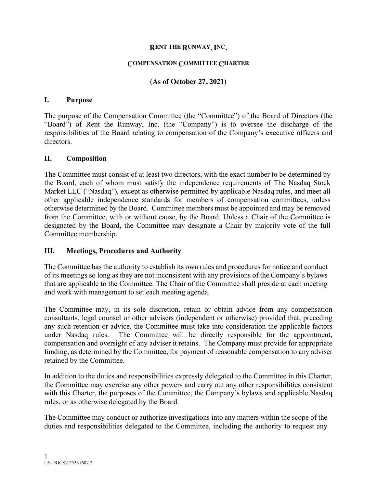#### **RENT THE RUNWAY, INC.**

#### **COMPENSATION COMMITTEE CHARTER**

### **(As of October 27, 2021)**

#### **I. Purpose**

The purpose of the Compensation Committee (the "Committee") of the Board of Directors (the "Board") of Rent the Runway, Inc. (the "Company") is to oversee the discharge of the responsibilities of the Board relating to compensation of the Company's executive officers and directors.

#### **II. Composition**

The Committee must consist of at least two directors, with the exact number to be determined by the Board, each of whom must satisfy the independence requirements of The Nasdaq Stock Market LLC ("Nasdaq"), except as otherwise permitted by applicable Nasdaq rules, and meet all other applicable independence standards for members of compensation committees, unless otherwise determined by the Board. Committee members must be appointed and may be removed from the Committee, with or without cause, by the Board. Unless a Chair of the Committee is designated by the Board, the Committee may designate a Chair by majority vote of the full Committee membership.

#### **III. Meetings, Procedures and Authority**

The Committee has the authority to establish its own rules and procedures for notice and conduct of its meetings so long as they are not inconsistent with any provisions of the Company's bylaws that are applicable to the Committee. The Chair of the Committee shall preside at each meeting and work with management to set each meeting agenda.

The Committee may, in its sole discretion, retain or obtain advice from any compensation consultants, legal counsel or other advisers (independent or otherwise) provided that, preceding any such retention or advice, the Committee must take into consideration the applicable factors under Nasdaq rules. The Committee will be directly responsible for the appointment, compensation and oversight of any adviser it retains. The Company must provide for appropriate funding, as determined by the Committee, for payment of reasonable compensation to any adviser retained by the Committee.

In addition to the duties and responsibilities expressly delegated to the Committee in this Charter, the Committee may exercise any other powers and carry out any other responsibilities consistent with this Charter, the purposes of the Committee, the Company's bylaws and applicable Nasdaq rules, or as otherwise delegated by the Board.

The Committee may conduct or authorize investigations into any matters within the scope of the duties and responsibilities delegated to the Committee, including the authority to request any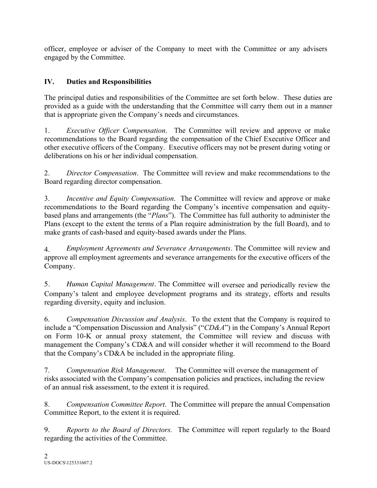officer, employee or adviser of the Company to meet with the Committee or any advisers engaged by the Committee.

# **IV. Duties and Responsibilities**

The principal duties and responsibilities of the Committee are set forth below. These duties are provided as a guide with the understanding that the Committee will carry them out in a manner that is appropriate given the Company's needs and circumstances.

1. *Executive Officer Compensation*. The Committee will review and approve or make recommendations to the Board regarding the compensation of the Chief Executive Officer and other executive officers of the Company. Executive officers may not be present during voting or deliberations on his or her individual compensation.

2. *Director Compensation*. The Committee will review and make recommendations to the Board regarding director compensation.

3. *Incentive and Equity Compensation*. The Committee will review and approve or make recommendations to the Board regarding the Company's incentive compensation and equitybased plans and arrangements (the "*Plans*"). The Committee has full authority to administer the Plans (except to the extent the terms of a Plan require administration by the full Board), and to make grants of cash-based and equity-based awards under the Plans.

4. *Employment Agreements and Severance Arrangements*. The Committee will review and approve all employment agreements and severance arrangements for the executive officers of the Company.

5. *Human Capital Management*. The Committee will oversee and periodically review the Company's talent and employee development programs and its strategy, efforts and results regarding diversity, equity and inclusion.

6. *Compensation Discussion and Analysis*. To the extent that the Company is required to include a "Compensation Discussion and Analysis" ("*CD&A*") in the Company's Annual Report on Form 10-K or annual proxy statement, the Committee will review and discuss with management the Company's CD&A and will consider whether it will recommend to the Board that the Company's CD&A be included in the appropriate filing.

7. *Compensation Risk Management*. The Committee will oversee the management of risks associated with the Company's compensation policies and practices, including the review of an annual risk assessment, to the extent it is required.

8. *Compensation Committee Report*. The Committee will prepare the annual Compensation Committee Report, to the extent it is required.

9. *Reports to the Board of Directors.* The Committee will report regularly to the Board regarding the activities of the Committee.